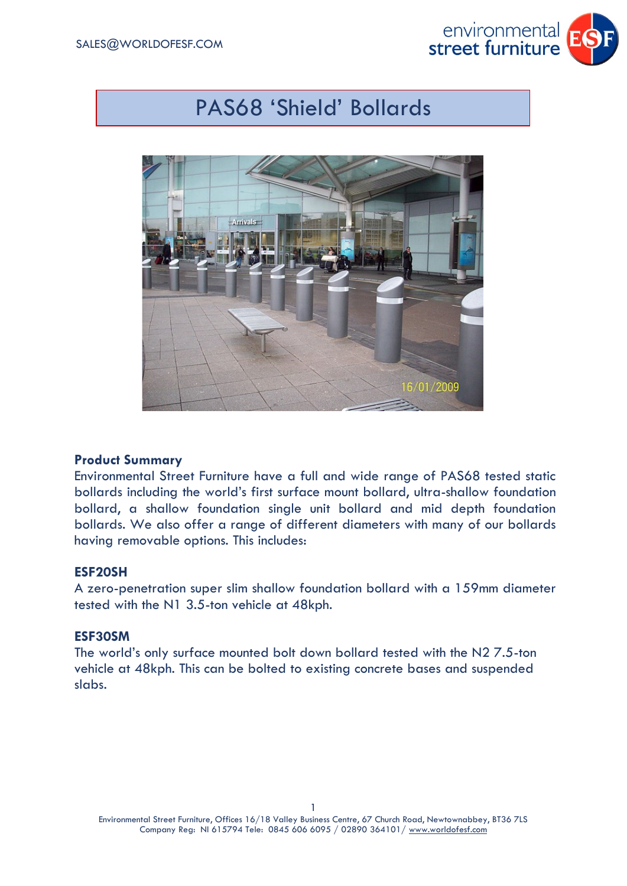

# PAS68 'Shield' Bollards



## **Product Summary**

Environmental Street Furniture have a full and wide range of PAS68 tested static bollards including the world's first surface mount bollard, ultra-shallow foundation bollard, a shallow foundation single unit bollard and mid depth foundation bollards. We also offer a range of different diameters with many of our bollards having removable options. This includes:

## **ESF20SH**

A zero-penetration super slim shallow foundation bollard with a 159mm diameter tested with the N1 3.5-ton vehicle at 48kph.

# **ESF30SM**

The world's only surface mounted bolt down bollard tested with the N2 7.5-ton vehicle at 48kph. This can be bolted to existing concrete bases and suspended slabs.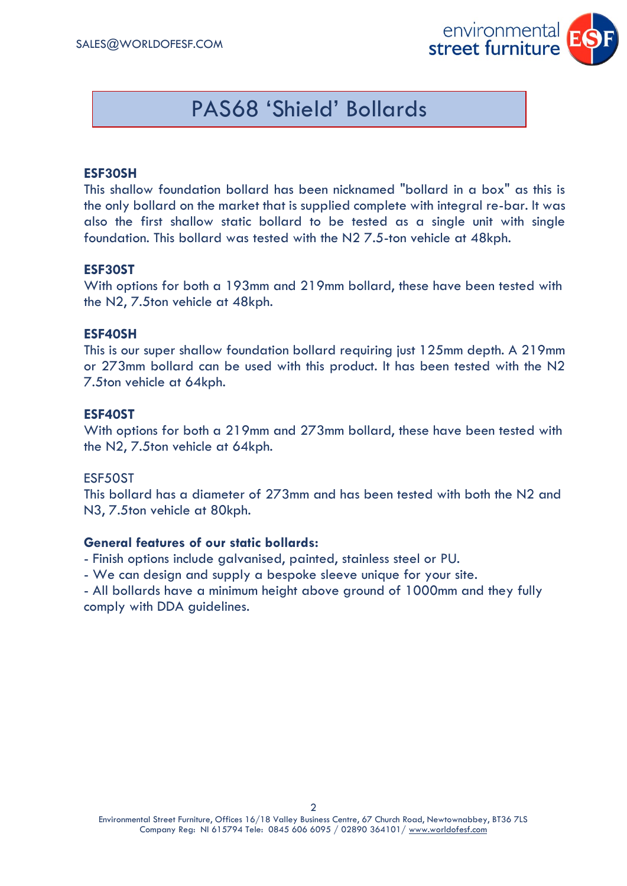

# PAS68 'Shield' Bollards

## **ESF30SH**

This shallow foundation bollard has been nicknamed "bollard in a box" as this is the only bollard on the market that is supplied complete with integral re-bar. It was also the first shallow static bollard to be tested as a single unit with single foundation. This bollard was tested with the N2 7.5-ton vehicle at 48kph.

#### **ESF30ST**

With options for both a 193mm and 219mm bollard, these have been tested with the N2, 7.5ton vehicle at 48kph.

#### **ESF40SH**

This is our super shallow foundation bollard requiring just 125mm depth. A 219mm or 273mm bollard can be used with this product. It has been tested with the N2 7.5ton vehicle at 64kph.

#### **ESF40ST**

With options for both a 219mm and 273mm bollard, these have been tested with the N2, 7.5ton vehicle at 64kph.

#### ESF50ST

This bollard has a diameter of 273mm and has been tested with both the N2 and N3, 7.5ton vehicle at 80kph.

## **General features of our static bollards:**

- Finish options include galvanised, painted, stainless steel or PU.
- We can design and supply a bespoke sleeve unique for your site.
- All bollards have a minimum height above ground of 1000mm and they fully comply with DDA guidelines.